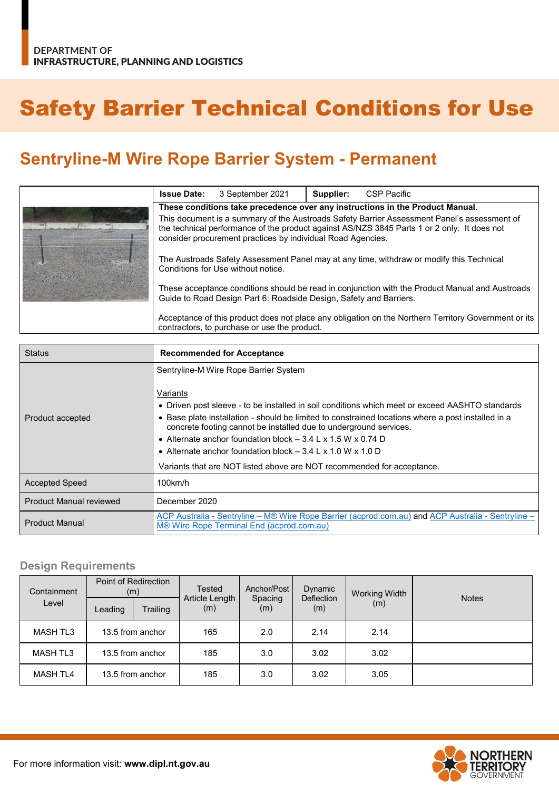# Safety Barrier Technical Conditions for Use

# **Sentryline-M Wire Rope Barrier System - Permanent**

| <b>Issue Date:</b>                                                                                                                                                                                                                                        | 3 September 2021 | Supplier: | CSP Pacific |
|-----------------------------------------------------------------------------------------------------------------------------------------------------------------------------------------------------------------------------------------------------------|------------------|-----------|-------------|
| These conditions take precedence over any instructions in the Product Manual.                                                                                                                                                                             |                  |           |             |
| This document is a summary of the Austroads Safety Barrier Assessment Panel's assessment of<br>the technical performance of the product against AS/NZS 3845 Parts 1 or 2 only. It does not<br>consider procurement practices by individual Road Agencies. |                  |           |             |
| The Austroads Safety Assessment Panel may at any time, withdraw or modify this Technical<br>Conditions for Use without notice.                                                                                                                            |                  |           |             |
| These acceptance conditions should be read in conjunction with the Product Manual and Austroads<br>Guide to Road Design Part 6: Roadside Design, Safety and Barriers.                                                                                     |                  |           |             |
| Acceptance of this product does not place any obligation on the Northern Territory Government or its<br>contractors, to purchase or use the product.                                                                                                      |                  |           |             |

| <b>Status</b>                  | <b>Recommended for Acceptance</b>                                                                                                                                                                                                                                                                                                                                                                                                                                                                 |
|--------------------------------|---------------------------------------------------------------------------------------------------------------------------------------------------------------------------------------------------------------------------------------------------------------------------------------------------------------------------------------------------------------------------------------------------------------------------------------------------------------------------------------------------|
|                                | Sentryline-M Wire Rope Barrier System                                                                                                                                                                                                                                                                                                                                                                                                                                                             |
| Product accepted               | Variants<br>• Driven post sleeve - to be installed in soil conditions which meet or exceed AASHTO standards<br>• Base plate installation - should be limited to constrained locations where a post installed in a<br>concrete footing cannot be installed due to underground services.<br>• Alternate anchor foundation block $-3.4$ L x 1.5 W x 0.74 D<br>• Alternate anchor foundation block $-3.4$ L x 1.0 W x 1.0 D<br>Variants that are NOT listed above are NOT recommended for acceptance. |
| <b>Accepted Speed</b>          | 100km/h                                                                                                                                                                                                                                                                                                                                                                                                                                                                                           |
| <b>Product Manual reviewed</b> | December 2020                                                                                                                                                                                                                                                                                                                                                                                                                                                                                     |
| <b>Product Manual</b>          | ACP Australia - Sentryline – M® Wire Rope Barrier (acprod.com.au) and ACP Australia - Sentryline –<br>M® Wire Rope Terminal End (acprod.com.au)                                                                                                                                                                                                                                                                                                                                                   |

#### **Design Requirements**

| Point of Redirection<br>Containment<br>(m) |                  | Tested<br>Article Length | Anchor/Post | Dynamic<br><b>Deflection</b> | <b>Working Width</b> | <b>Notes</b> |  |
|--------------------------------------------|------------------|--------------------------|-------------|------------------------------|----------------------|--------------|--|
| Level                                      | Leading          | Trailing                 | (m)         | Spacing<br>(m)               | (m)                  | (m)          |  |
| <b>MASH TL3</b>                            | 13.5 from anchor |                          | 165         | 2.0                          | 2.14                 | 2.14         |  |
| <b>MASH TL3</b>                            | 13.5 from anchor |                          | 185         | 3.0                          | 3.02                 | 3.02         |  |
| <b>MASH TL4</b>                            | 13.5 from anchor |                          | 185         | 3.0                          | 3.02                 | 3.05         |  |